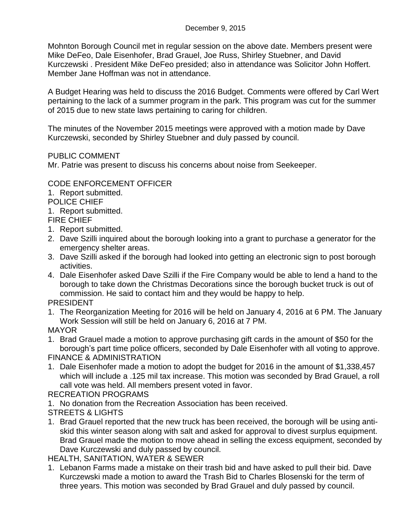Mohnton Borough Council met in regular session on the above date. Members present were Mike DeFeo, Dale Eisenhofer, Brad Grauel, Joe Russ, Shirley Stuebner, and David Kurczewski . President Mike DeFeo presided; also in attendance was Solicitor John Hoffert. Member Jane Hoffman was not in attendance.

A Budget Hearing was held to discuss the 2016 Budget. Comments were offered by Carl Wert pertaining to the lack of a summer program in the park. This program was cut for the summer of 2015 due to new state laws pertaining to caring for children.

The minutes of the November 2015 meetings were approved with a motion made by Dave Kurczewski, seconded by Shirley Stuebner and duly passed by council.

## PUBLIC COMMENT

Mr. Patrie was present to discuss his concerns about noise from Seekeeper.

# CODE ENFORCEMENT OFFICER

1. Report submitted.

POLICE CHIEF

1. Report submitted.

FIRE CHIEF

- 1. Report submitted.
- 2. Dave Szilli inquired about the borough looking into a grant to purchase a generator for the emergency shelter areas.
- 3. Dave Szilli asked if the borough had looked into getting an electronic sign to post borough activities.
- 4. Dale Eisenhofer asked Dave Szilli if the Fire Company would be able to lend a hand to the borough to take down the Christmas Decorations since the borough bucket truck is out of commission. He said to contact him and they would be happy to help.

# PRESIDENT

1. The Reorganization Meeting for 2016 will be held on January 4, 2016 at 6 PM. The January Work Session will still be held on January 6, 2016 at 7 PM.

## MAYOR

- 1. Brad Grauel made a motion to approve purchasing gift cards in the amount of \$50 for the borough's part time police officers, seconded by Dale Eisenhofer with all voting to approve. FINANCE & ADMINISTRATION
- 1. Dale Eisenhofer made a motion to adopt the budget for 2016 in the amount of \$1,338,457 which will include a .125 mil tax increase. This motion was seconded by Brad Grauel, a roll call vote was held. All members present voted in favor.

## RECREATION PROGRAMS

- 1. No donation from the Recreation Association has been received.
- STREETS & LIGHTS
- 1. Brad Grauel reported that the new truck has been received, the borough will be using antiskid this winter season along with salt and asked for approval to divest surplus equipment. Brad Grauel made the motion to move ahead in selling the excess equipment, seconded by Dave Kurczewski and duly passed by council.

HEALTH, SANITATION, WATER & SEWER

1. Lebanon Farms made a mistake on their trash bid and have asked to pull their bid. Dave Kurczewski made a motion to award the Trash Bid to Charles Blosenski for the term of three years. This motion was seconded by Brad Grauel and duly passed by council.